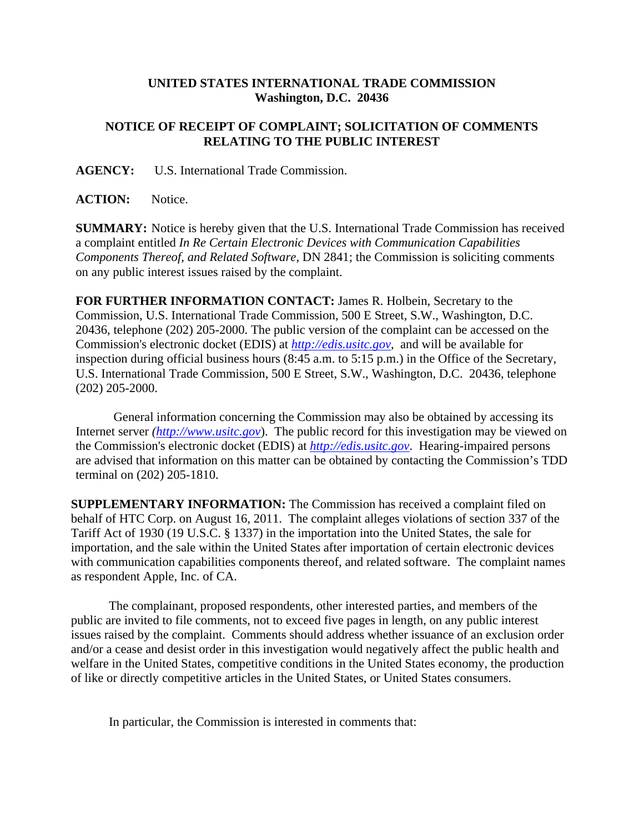## **UNITED STATES INTERNATIONAL TRADE COMMISSION Washington, D.C. 20436**

## **NOTICE OF RECEIPT OF COMPLAINT; SOLICITATION OF COMMENTS RELATING TO THE PUBLIC INTEREST**

**AGENCY:** U.S. International Trade Commission.

**ACTION:** Notice.

**SUMMARY:** Notice is hereby given that the U.S. International Trade Commission has received a complaint entitled *In Re Certain Electronic Devices with Communication Capabilities Components Thereof, and Related Software*, DN 2841; the Commission is soliciting comments on any public interest issues raised by the complaint.

**FOR FURTHER INFORMATION CONTACT:** James R. Holbein, Secretary to the Commission, U.S. International Trade Commission, 500 E Street, S.W., Washington, D.C. 20436, telephone (202) 205-2000. The public version of the complaint can be accessed on the Commission's electronic docket (EDIS) at *http://edis.usitc.gov*,and will be available for inspection during official business hours (8:45 a.m. to 5:15 p.m.) in the Office of the Secretary, U.S. International Trade Commission, 500 E Street, S.W., Washington, D.C. 20436, telephone (202) 205-2000.

General information concerning the Commission may also be obtained by accessing its Internet server *(http://www.usitc.gov*). The public record for this investigation may be viewed on the Commission's electronic docket (EDIS) at *http://edis.usitc.gov*. Hearing-impaired persons are advised that information on this matter can be obtained by contacting the Commission's TDD terminal on (202) 205-1810.

**SUPPLEMENTARY INFORMATION:** The Commission has received a complaint filed on behalf of HTC Corp. on August 16, 2011. The complaint alleges violations of section 337 of the Tariff Act of 1930 (19 U.S.C. § 1337) in the importation into the United States, the sale for importation, and the sale within the United States after importation of certain electronic devices with communication capabilities components thereof, and related software. The complaint names as respondent Apple, Inc. of CA.

The complainant, proposed respondents, other interested parties, and members of the public are invited to file comments, not to exceed five pages in length, on any public interest issues raised by the complaint. Comments should address whether issuance of an exclusion order and/or a cease and desist order in this investigation would negatively affect the public health and welfare in the United States, competitive conditions in the United States economy, the production of like or directly competitive articles in the United States, or United States consumers.

In particular, the Commission is interested in comments that: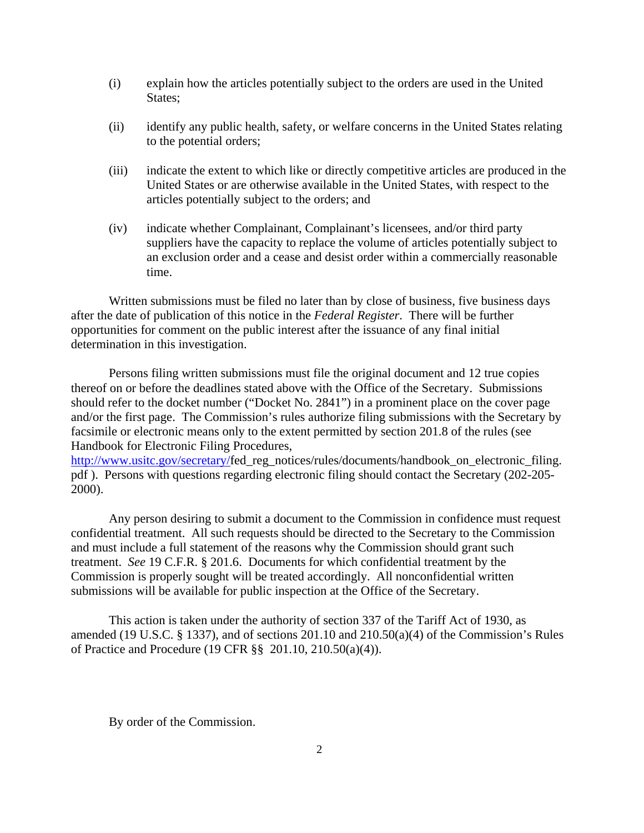- (i) explain how the articles potentially subject to the orders are used in the United States;
- (ii) identify any public health, safety, or welfare concerns in the United States relating to the potential orders;
- (iii) indicate the extent to which like or directly competitive articles are produced in the United States or are otherwise available in the United States, with respect to the articles potentially subject to the orders; and
- (iv) indicate whether Complainant, Complainant's licensees, and/or third party suppliers have the capacity to replace the volume of articles potentially subject to an exclusion order and a cease and desist order within a commercially reasonable time.

Written submissions must be filed no later than by close of business, five business days after the date of publication of this notice in the *Federal Register*. There will be further opportunities for comment on the public interest after the issuance of any final initial determination in this investigation.

Persons filing written submissions must file the original document and 12 true copies thereof on or before the deadlines stated above with the Office of the Secretary. Submissions should refer to the docket number ("Docket No. 2841") in a prominent place on the cover page and/or the first page. The Commission's rules authorize filing submissions with the Secretary by facsimile or electronic means only to the extent permitted by section 201.8 of the rules (see Handbook for Electronic Filing Procedures,

http://www.usitc.gov/secretary/fed\_reg\_notices/rules/documents/handbook\_on\_electronic\_filing. pdf ). Persons with questions regarding electronic filing should contact the Secretary (202-205- 2000).

Any person desiring to submit a document to the Commission in confidence must request confidential treatment. All such requests should be directed to the Secretary to the Commission and must include a full statement of the reasons why the Commission should grant such treatment. *See* 19 C.F.R. § 201.6. Documents for which confidential treatment by the Commission is properly sought will be treated accordingly. All nonconfidential written submissions will be available for public inspection at the Office of the Secretary.

This action is taken under the authority of section 337 of the Tariff Act of 1930, as amended (19 U.S.C. § 1337), and of sections 201.10 and 210.50(a)(4) of the Commission's Rules of Practice and Procedure (19 CFR §§ 201.10, 210.50(a)(4)).

By order of the Commission.